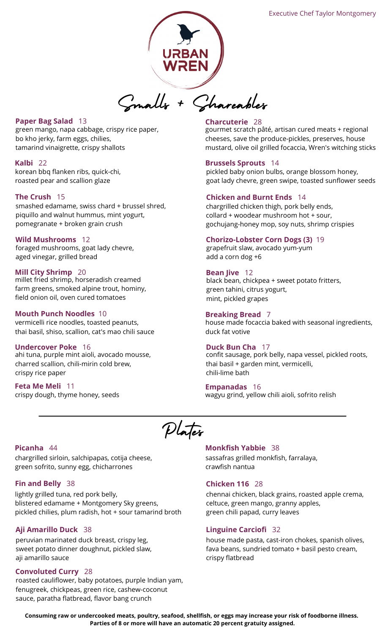

# **Paper Bag Salad** 13

green mango, napa cabbage, crispy rice paper, bo kho jerky, farm eggs, chilies, tamarind vinaigrette, crispy shallots

#### **Kalbi** 22

korean bbq flanken ribs, quick-chi, roasted pear and scallion glaze

# **The Crush** 15

smashed edamame, swiss chard + brussel shred, piquillo and walnut hummus, mint yogurt, pomegranate + broken grain crush

#### **Wild Mushrooms** 12

foraged mushrooms, goat lady chevre, aged vinegar, grilled bread

# **Mill City Shrimp** 20

millet fried shrimp, horseradish creamed farm greens, smoked alpine trout, hominy, field onion oil, oven cured tomatoes

# **Mouth Punch Noodles** 10

vermicelli rice noodles, toasted peanuts, thai basil, shiso, scallion, cat's mao chili sauce

# **Undercover Poke** 16

ahi tuna, purple mint aioli, avocado mousse, charred scallion, chili-mirin cold brew, crispy rice paper

# **Feta Me Meli** 11 crispy dough, thyme honey, seeds

## **Charcuterie** 28

gourmet scratch pâté, artisan cured meats + regional cheeses, save the produce-pickles, preserves, house mustard, olive oil grilled focaccia, Wren's witching sticks

## **Brussels Sprouts** 14

pickled baby onion bulbs, orange blossom honey, goat lady chevre, green swipe, toasted sunflower seeds

#### **Chicken and Burnt Ends** 14

chargrilled chicken thigh, pork belly ends, collard + woodear mushroom hot + sour, gochujang-honey mop, soy nuts, shrimp crispies

#### **Chorizo-Lobster Corn Dogs (3)** 19

grapefruit slaw, avocado yum-yum add a corn dog +6

#### **Bean Jive** 12

black bean, chickpea + sweet potato fritters, green tahini, citrus yogurt, mint, pickled grapes

#### **Breaking Bread** 7

house made focaccia baked with seasonal ingredients, duck fat votive

#### **Duck Bun Cha** 17

confit sausage, pork belly, napa vessel, pickled roots, thai basil + garden mint, vermicelli, chili-lime bath

#### **Empanadas** 16

wagyu grind, yellow chili aioli, sofrito relish

Plates

### **Picanha** 44

chargrilled sirloin, salchipapas, cotija cheese, green sofrito, sunny egg, chicharrones

# **Fin and Belly** 38

lightly grilled tuna, red pork belly, blistered edamame + Montgomery Sky greens, pickled chilies, plum radish, hot + sour tamarind broth

# **Aji Amarillo Duck** 38

peruvian marinated duck breast, crispy leg, sweet potato dinner doughnut, pickled slaw, aji amarillo sauce

# **Convoluted Curry** 28

roasted cauliflower, baby potatoes, purple Indian yam, fenugreek, chickpeas, green rice, cashew-coconut sauce, paratha flatbread, flavor bang crunch

#### **Monkfish Yabbie** 38

sassafras grilled monkfish, farralaya, crawfish nantua

#### **Chicken 116** 28

chennai chicken, black grains, roasted apple crema, celtuce, green mango, granny apples, green chili papad, curry leaves

#### **Linguine Carciofi** 32

house made pasta, cast-iron chokes, spanish olives, fava beans, sundried tomato + basil pesto cream, crispy flatbread

**Consuming raw or undercooked meats, poultry, seafood, shellfish, or eggs may increase your risk of foodborne illness. Parties of 8 or more will have an automatic 20 percent gratuity assigned.**